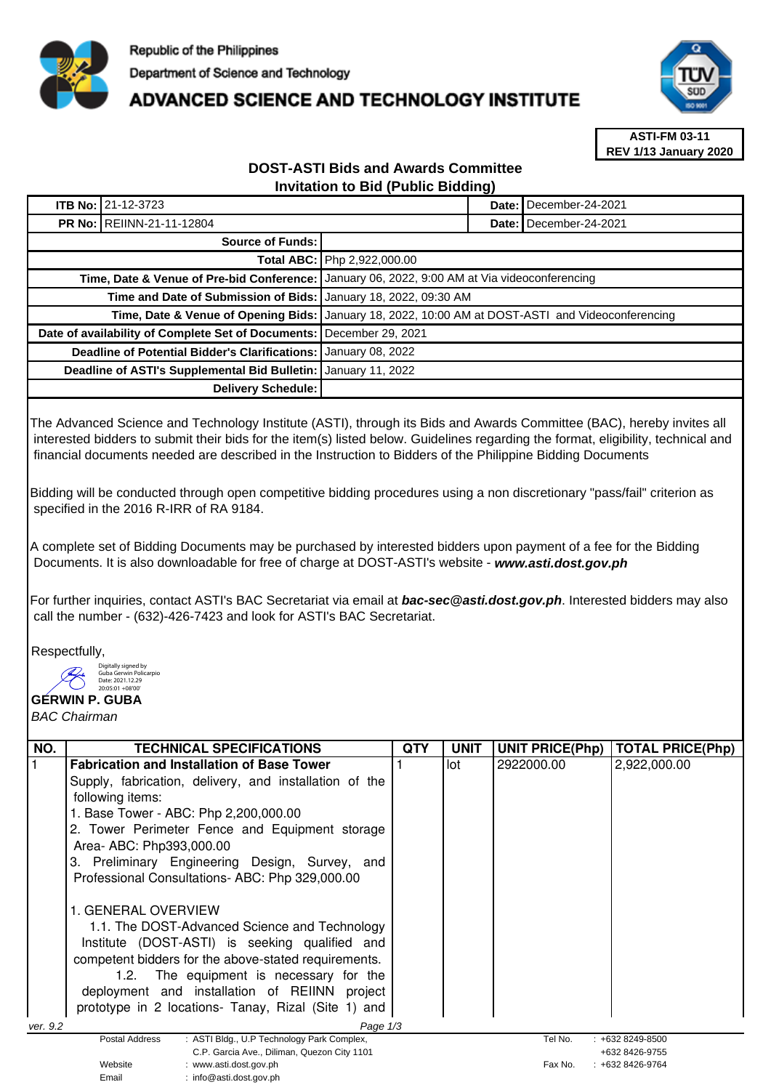

# **ADVANCED SCIENCE AND TECHNOLOGY INSTITUTE**



**ASTI-FM 03-11 REV 1/13 January 2020**

## **DOST-ASTI Bids and Awards Committee Invitation to Bid (Public Bidding)**

|                                                                      | <b>ITB No: 21-12-3723</b>                                         |                                                                                                   |  | December-24-2021         |
|----------------------------------------------------------------------|-------------------------------------------------------------------|---------------------------------------------------------------------------------------------------|--|--------------------------|
| <b>PR No: REIINN-21-11-12804</b>                                     |                                                                   |                                                                                                   |  | Date: I December-24-2021 |
| Source of Funds:                                                     |                                                                   |                                                                                                   |  |                          |
|                                                                      |                                                                   | Total ABC: Php 2,922,000.00                                                                       |  |                          |
|                                                                      | Time, Date & Venue of Pre-bid Conference:                         | January 06, 2022, 9:00 AM at Via videoconferencing                                                |  |                          |
|                                                                      | Time and Date of Submission of Bids:   January 18, 2022, 09:30 AM |                                                                                                   |  |                          |
|                                                                      |                                                                   | Time, Date & Venue of Opening Bids: January 18, 2022, 10:00 AM at DOST-ASTI and Videoconferencing |  |                          |
| Date of availability of Complete Set of Documents: December 29, 2021 |                                                                   |                                                                                                   |  |                          |
|                                                                      | <b>Deadline of Potential Bidder's Clarifications:</b>             | January 08, 2022                                                                                  |  |                          |
|                                                                      | Deadline of ASTI's Supplemental Bid Bulletin:                     | January 11, 2022                                                                                  |  |                          |
|                                                                      | Delivery Schedule:                                                |                                                                                                   |  |                          |

The Advanced Science and Technology Institute (ASTI), through its Bids and Awards Committee (BAC), hereby invites all interested bidders to submit their bids for the item(s) listed below. Guidelines regarding the format, eligibility, technical and financial documents needed are described in the Instruction to Bidders of the Philippine Bidding Documents

Bidding will be conducted through open competitive bidding procedures using a non discretionary "pass/fail" criterion as specified in the 2016 R-IRR of RA 9184.

A complete set of Bidding Documents may be purchased by interested bidders upon payment of a fee for the Bidding Documents. It is also downloadable for free of charge at DOST-ASTI's website - **www.asti.dost.gov.ph**

For further inquiries, contact ASTI's BAC Secretariat via email at **bac-sec@asti.dost.gov.ph**. Interested bidders may also call the number - (632)-426-7423 and look for ASTI's BAC Secretariat.

Respectfully,

Digitally signed by Guba Gerwin Policarpio

#### **GERWIN P. GUBA**  Date: 2021.12.29 20:05:01 +08'00'

BAC Chairman

| NO.                  | <b>TECHNICAL SPECIFICATIONS</b>                                                  | QTY | <b>UNIT</b> | <b>UNIT PRICE(Php)</b> | <b>TOTAL PRICE(Php)</b>               |
|----------------------|----------------------------------------------------------------------------------|-----|-------------|------------------------|---------------------------------------|
|                      | <b>Fabrication and Installation of Base Tower</b>                                |     | lot         | 2922000.00             | 2,922,000.00                          |
|                      | Supply, fabrication, delivery, and installation of the                           |     |             |                        |                                       |
|                      | following items:                                                                 |     |             |                        |                                       |
|                      | 1. Base Tower - ABC: Php 2,200,000.00                                            |     |             |                        |                                       |
|                      | 2. Tower Perimeter Fence and Equipment storage                                   |     |             |                        |                                       |
|                      | Area- ABC: Php393,000.00                                                         |     |             |                        |                                       |
|                      | 3. Preliminary Engineering Design, Survey, and                                   |     |             |                        |                                       |
|                      | Professional Consultations-ABC: Php 329,000.00                                   |     |             |                        |                                       |
|                      |                                                                                  |     |             |                        |                                       |
|                      | 1. GENERAL OVERVIEW                                                              |     |             |                        |                                       |
|                      | 1.1. The DOST-Advanced Science and Technology                                    |     |             |                        |                                       |
|                      | Institute (DOST-ASTI) is seeking qualified and                                   |     |             |                        |                                       |
|                      | competent bidders for the above-stated requirements.                             |     |             |                        |                                       |
|                      | 1.2. The equipment is necessary for the                                          |     |             |                        |                                       |
|                      | deployment and installation of REIINN project                                    |     |             |                        |                                       |
|                      | prototype in 2 locations- Tanay, Rizal (Site 1) and                              |     |             |                        |                                       |
| Page 1/3<br>ver. 9.2 |                                                                                  |     |             |                        |                                       |
|                      | : ASTI Bldg., U.P Technology Park Complex,<br>Postal Address                     |     |             | Tel No.                | $: +6328249 - 8500$                   |
|                      | C.P. Garcia Ave., Diliman, Quezon City 1101<br>Website<br>: www.asti.dost.gov.ph |     |             | Fax No.                | +632 8426-9755<br>$: +6328426 - 9764$ |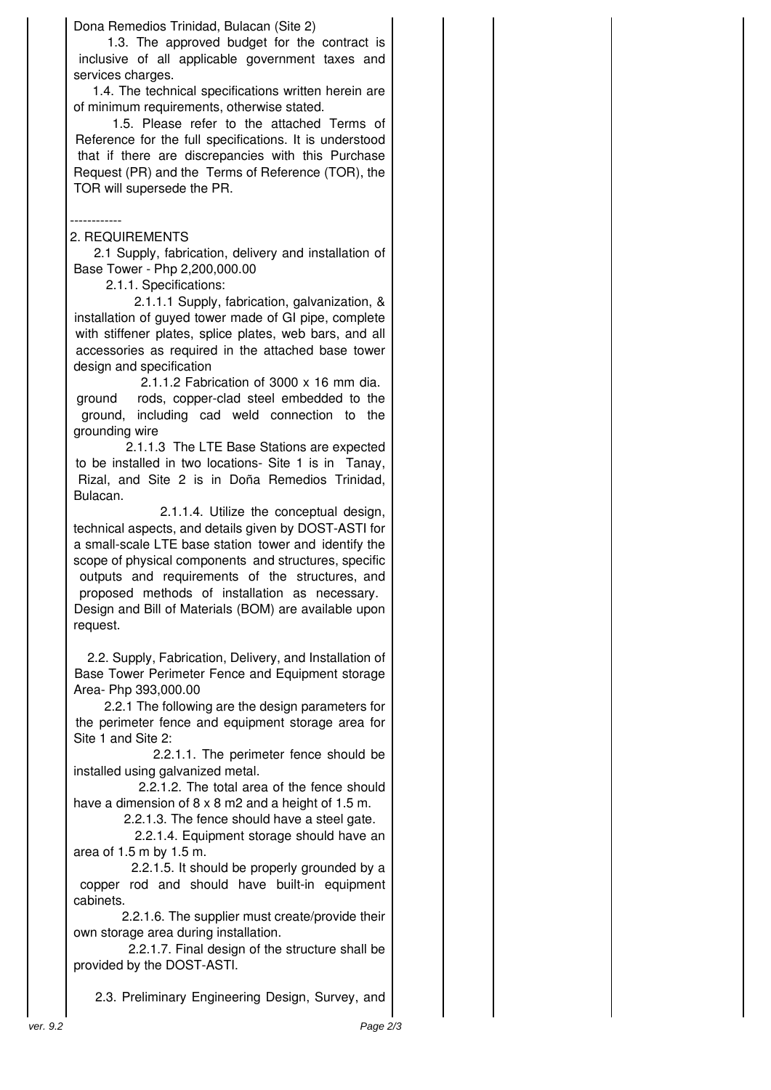Dona Remedios Trinidad, Bulacan (Site 2)

1.3. The approved budget for the contract is inclusive of all applicable government taxes and services charges.

1.4. The technical specifications written herein are of minimum requirements, otherwise stated.

1.5. Please refer to the attached Terms of Reference for the full specifications. It is understood that if there are discrepancies with this Purchase Request (PR) and the Terms of Reference (TOR), the TOR will supersede the PR.

### ------------

## 2. REQUIREMENTS

2.1 Supply, fabrication, delivery and installation of Base Tower - Php 2,200,000.00

2.1.1. Specifications:

2.1.1.1 Supply, fabrication, galvanization, & installation of guyed tower made of GI pipe, complete with stiffener plates, splice plates, web bars, and all accessories as required in the attached base tower design and specification

2.1.1.2 Fabrication of 3000 x 16 mm dia. ground rods, copper-clad steel embedded to the ground, including cad weld connection to the grounding wire

2.1.1.3 The LTE Base Stations are expected to be installed in two locations- Site 1 is in Tanay, Rizal, and Site 2 is in Doña Remedios Trinidad, Bulacan.

2.1.1.4. Utilize the conceptual design, technical aspects, and details given by DOST-ASTI for a small-scale LTE base station tower and identify the scope of physical components and structures, specific outputs and requirements of the structures, and proposed methods of installation as necessary.  Design and Bill of Materials (BOM) are available upon request.

2.2. Supply, Fabrication, Delivery, and Installation of Base Tower Perimeter Fence and Equipment storage Area- Php 393,000.00

2.2.1 The following are the design parameters for the perimeter fence and equipment storage area for Site 1 and Site 2:

2.2.1.1. The perimeter fence should be installed using galvanized metal.

2.2.1.2. The total area of the fence should have a dimension of 8 x 8 m2 and a height of 1.5 m.

2.2.1.3. The fence should have a steel gate.

2.2.1.4. Equipment storage should have an area of 1.5 m by 1.5 m.

2.2.1.5. It should be properly grounded by a copper rod and should have built-in equipment cabinets.

2.2.1.6. The supplier must create/provide their own storage area during installation.

2.2.1.7. Final design of the structure shall be provided by the DOST-ASTI.

2.3. Preliminary Engineering Design, Survey, and